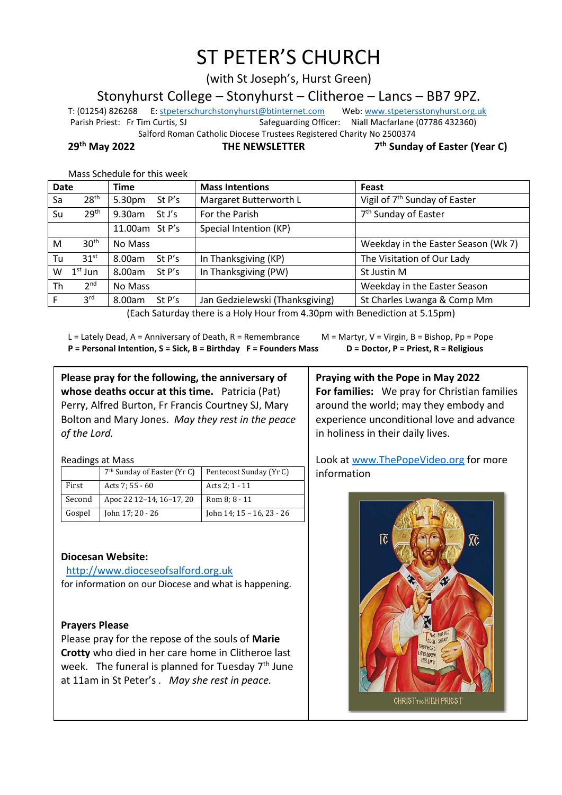# ST PETER'S CHURCH

(with St Joseph's, Hurst Green)

Stonyhurst College – Stonyhurst – Clitheroe – Lancs – BB7 9PZ.

T: (01254) 826268 E[: stpeterschurchstonyhurst@btinternet.com](mailto:stpeterschurchstonyhurst@btinternet.com) Web[: www.stpetersstonyhurst.org.uk](http://www.stpetersstonyhurst.org.uk/) Parish Priest: Fr Tim Curtis, SJ Safeguarding Officer: Niall Macfarlane (07786 432360) Salford Roman Catholic Diocese Trustees Registered Charity No 2500374

**29th May 2022 THE NEWSLETTER 7**

**th Sunday of Easter (Year C)**

| <b>Date</b> |                  | <b>Time</b>         | <b>Mass Intentions</b>          | Feast                                     |  |  |
|-------------|------------------|---------------------|---------------------------------|-------------------------------------------|--|--|
| Sa          | 28 <sup>th</sup> | St P's<br>5.30pm    | Margaret Butterworth L          | Vigil of 7 <sup>th</sup> Sunday of Easter |  |  |
| Su          | 29 <sup>th</sup> | $9.30$ am<br>St J's | For the Parish                  | 7 <sup>th</sup> Sunday of Easter          |  |  |
|             |                  | 11.00am St P's      | Special Intention (KP)          |                                           |  |  |
| M           | 30 <sup>th</sup> | No Mass             |                                 | Weekday in the Easter Season (Wk 7)       |  |  |
| Tu          | 31 <sup>st</sup> | St P's<br>8.00am    | In Thanksgiving (KP)            | The Visitation of Our Lady                |  |  |
| W           | $1st$ Jun        | 8.00am<br>St $P's$  | In Thanksgiving (PW)            | St Justin M                               |  |  |
| Th          | 2 <sub>nd</sub>  | No Mass             |                                 | Weekday in the Easter Season              |  |  |
|             | 3 <sup>rd</sup>  | 8.00am<br>St P's    | Jan Gedzielewski (Thanksgiving) | St Charles Lwanga & Comp Mm               |  |  |
|             |                  |                     |                                 |                                           |  |  |

Mass Schedule for this week

(Each Saturday there is a Holy Hour from 4.30pm with Benediction at 5.15pm)

L = Lately Dead, A = Anniversary of Death, R = Remembrance M = Martyr, V = Virgin, B = Bishop, Pp = Pope **P = Personal Intention, S = Sick, B = Birthday F = Founders Mass D = Doctor, P = Priest, R = Religious**

**Please pray for the following, the anniversary of whose deaths occur at this time.** Patricia (Pat) Perry, Alfred Burton, Fr Francis Courtney SJ, Mary Bolton and Mary Jones. *May they rest in the peace of the Lord.*

Readings at Mass

|        | 7 <sup>th</sup> Sunday of Easter (Yr C) | Pentecost Sunday (Yr C)   |
|--------|-----------------------------------------|---------------------------|
| First  | Acts 7: 55 - 60                         | Acts 2: 1 - 11            |
| Second | Apoc 22 12-14, 16-17, 20                | Rom 8: 8 - 11             |
| Gospel | John 17; 20 - 26                        | John 14; 15 - 16, 23 - 26 |

# **Diocesan Website:**

http://www.dioceseofsalford.org.uk for information on our Diocese and what is happening.

#### **Prayers Please**

Please pray for the repose of the souls of **Marie Crotty** who died in her care home in Clitheroe last week. The funeral is planned for Tuesday 7<sup>th</sup> June at 11am in St Peter's *. May she rest in peace.*

**Praying with the Pope in May 2022 For families:** We pray for Christian families around the world; may they embody and experience unconditional love and advance in holiness in their daily lives.

Look at www.ThePopeVideo.org for more information